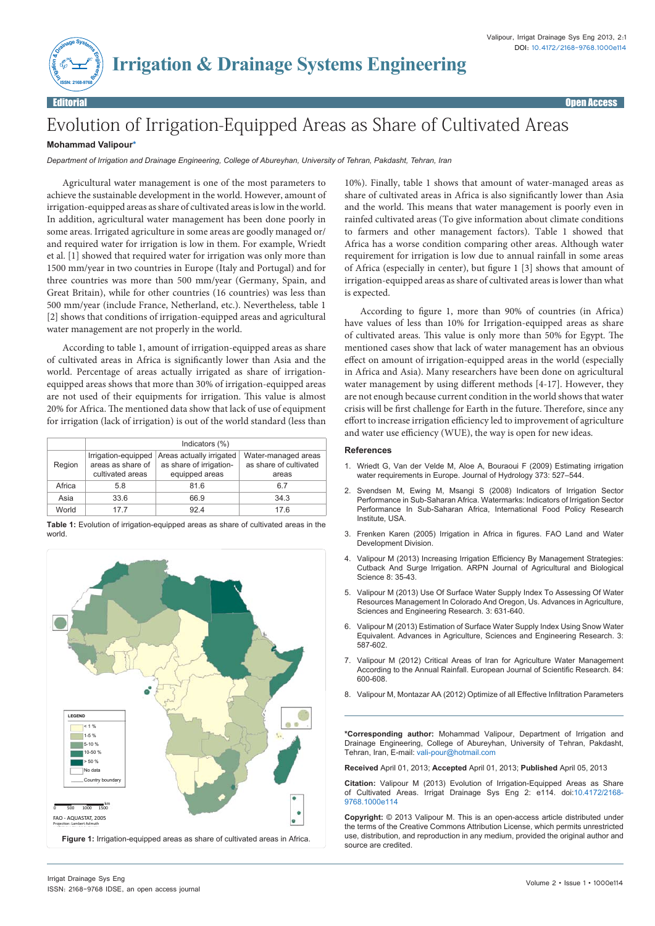

Editorial Open Access

## Evolution of Irrigation-Equipped Areas as Share of Cultivated Areas

## **Mohammad Valipour\***

*Department of Irrigation and Drainage Engineering, College of Abureyhan, University of Tehran, Pakdasht, Tehran, Iran*

Agricultural water management is one of the most parameters to achieve the sustainable development in the world. However, amount of irrigation-equipped areas as share of cultivated areas is low in the world. In addition, agricultural water management has been done poorly in some areas. Irrigated agriculture in some areas are goodly managed or/ and required water for irrigation is low in them. For example, Wriedt et al. [1] showed that required water for irrigation was only more than 1500 mm/year in two countries in Europe (Italy and Portugal) and for three countries was more than 500 mm/year (Germany, Spain, and Great Britain), while for other countries (16 countries) was less than 500 mm/year (include France, Netherland, etc.). Nevertheless, table 1 [2] shows that conditions of irrigation-equipped areas and agricultural water management are not properly in the world.

According to table 1, amount of irrigation-equipped areas as share of cultivated areas in Africa is significantly lower than Asia and the world. Percentage of areas actually irrigated as share of irrigationequipped areas shows that more than 30% of irrigation-equipped areas are not used of their equipments for irrigation. This value is almost 20% for Africa. The mentioned data show that lack of use of equipment for irrigation (lack of irrigation) is out of the world standard (less than

|        | Indicators (%)                                               |                                                                       |                                                        |
|--------|--------------------------------------------------------------|-----------------------------------------------------------------------|--------------------------------------------------------|
| Region | Irrigation-equipped<br>areas as share of<br>cultivated areas | Areas actually irrigated<br>as share of irrigation-<br>equipped areas | Water-managed areas<br>as share of cultivated<br>areas |
| Africa | 5.8                                                          | 81.6                                                                  | 6.7                                                    |
| Asia   | 33.6                                                         | 66.9                                                                  | 34.3                                                   |
| World  | 17 7                                                         | 924                                                                   | 17 6                                                   |

**Table 1:** Evolution of irrigation-equipped areas as share of cultivated areas in the world



10%). Finally, table 1 shows that amount of water-managed areas as share of cultivated areas in Africa is also significantly lower than Asia and the world. This means that water management is poorly even in rainfed cultivated areas (To give information about climate conditions to farmers and other management factors). Table 1 showed that Africa has a worse condition comparing other areas. Although water requirement for irrigation is low due to annual rainfall in some areas of Africa (especially in center), but figure 1 [3] shows that amount of irrigation-equipped areas as share of cultivated areas is lower than what is expected.

According to figure 1, more than 90% of countries (in Africa) have values of less than 10% for Irrigation-equipped areas as share of cultivated areas. This value is only more than 50% for Egypt. The mentioned cases show that lack of water management has an obvious effect on amount of irrigation-equipped areas in the world (especially in Africa and Asia). Many researchers have been done on agricultural water management by using different methods [4-17]. However, they are not enough because current condition in the world shows that water crisis will be first challenge for Earth in the future. Therefore, since any effort to increase irrigation efficiency led to improvement of agriculture and water use efficiency (WUE), the way is open for new ideas.

## **References**

- 1. [Wriedt G, Van der Velde M, Aloe A, Bouraoui F \(2009\) Estimating irrigation](http://www.sciencedirect.com/science/article/pii/S0022169409003175)  [water requirements in Europe. Journal of Hydrology 373: 527–544.](http://www.sciencedirect.com/science/article/pii/S0022169409003175)
- 2. [Svendsen M, Ewing M, Msangi S \(2008\) Indicators of Irrigation Sector](http://www.eu-africa-infrastructure-tf.net/attachments/library/aicd-background-paper-4-irrig-sector-summary-en.pdf)  [Performance in Sub-Saharan Africa. Watermarks: Indicators of Irrigation Sector](http://www.eu-africa-infrastructure-tf.net/attachments/library/aicd-background-paper-4-irrig-sector-summary-en.pdf)  [Performance In Sub-Saharan Africa, International Food Policy Research](http://www.eu-africa-infrastructure-tf.net/attachments/library/aicd-background-paper-4-irrig-sector-summary-en.pdf)  [Institute, USA.](http://www.eu-africa-infrastructure-tf.net/attachments/library/aicd-background-paper-4-irrig-sector-summary-en.pdf)
- 3. [Frenken Karen \(2005\) Irrigation in Africa in figures. FAO Land and Water](ftp://ftp.fao.org/agl/aglw/docs/wr29_eng.pdf)  [Development Division.](ftp://ftp.fao.org/agl/aglw/docs/wr29_eng.pdf)
- 4. [Valipour M \(2013\) Increasing Irrigation Efficiency By Management Strategies:](http://www.arpnjournals.com/jabs/research_papers/rp_2013/jabs_0113_512.pdf)  [Cutback And Surge Irrigation. ARPN Journal of Agricultural and Biological](http://www.arpnjournals.com/jabs/research_papers/rp_2013/jabs_0113_512.pdf)  [Science 8: 35-43.](http://www.arpnjournals.com/jabs/research_papers/rp_2013/jabs_0113_512.pdf)
- 5. [Valipour M \(2013\) Use Of Surface Water Supply Index To Assessing Of Water](http://ejournal.sedinst.com/index.php/agser/article/view/247)  [Resources Management In Colorado And Oregon, Us. Advances in Agriculture,](http://ejournal.sedinst.com/index.php/agser/article/view/247)  Sciences and Engineering Research. 3: 631-640
- Valipour M (2013) Estimation of Surface Water Supply Index Using Snow Water [Equivalent. Advances in Agriculture, Sciences and Engineering Research. 3:](http://scienceindex.com/stories/2917243/Estimation_of_Surface_Water_Supply_Index_Using_Snow_Water_Equivalent.html)  [587-602.](http://scienceindex.com/stories/2917243/Estimation_of_Surface_Water_Supply_Index_Using_Snow_Water_Equivalent.html)
- 7. Valipour M (2012) Critical Areas of Iran for Agriculture Water Management According to the Annual Rainfall. European Journal of Scientific Research. 84: 600-608.
- 8. [Valipour M, Montazar AA \(2012\) Optimize of all Effective Infiltration Parameters](http://www.ajbasweb.com/ajbas/2012/June/132-137.pdf)

**\*Corresponding author:** Mohammad Valipour, Department of Irrigation and Drainage Engineering, College of Abureyhan, University of Tehran, Pakdasht, Tehran, Iran, E-mail: vali-pour@hotmail.com

**Received** April 01, 2013; **Accepted** April 01, 2013; **Published** April 05, 2013

**Citation:** Valipour M (2013) Evolution of Irrigation-Equipped Areas as Share of Cultivated Areas. Irrigat Drainage Sys Eng 2: e114. doi:10.4172/2168- 9768.1000e114

**Copyright:** © 2013 Valipour M. This is an open-access article distributed under the terms of the Creative Commons Attribution License, which permits unrestricted use, distribution, and reproduction in any medium, provided the original author and source are credited.